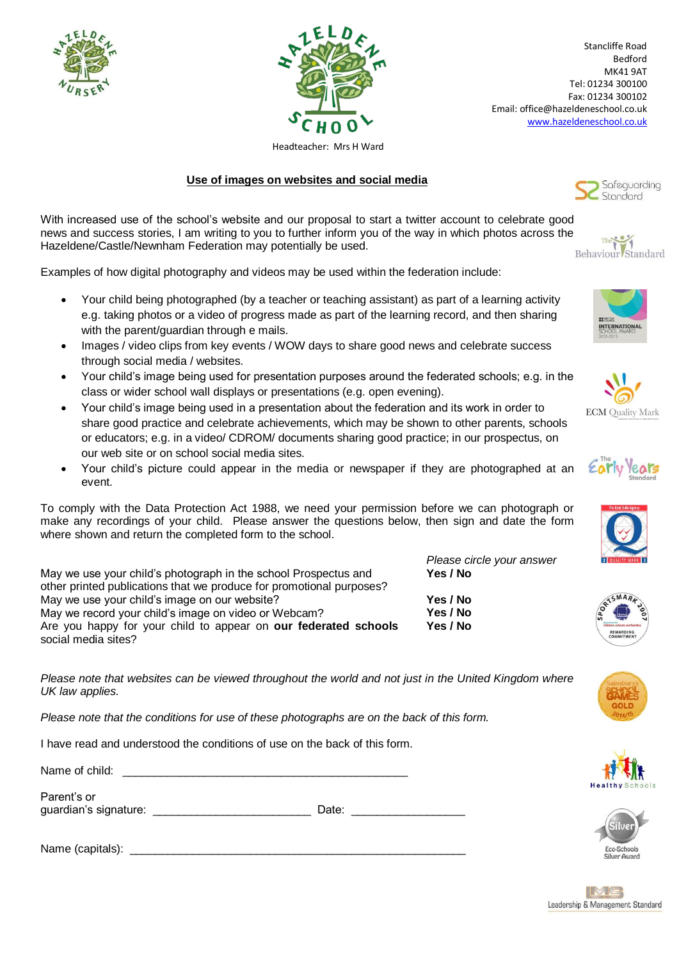



Stancliffe Road Bedford MK41 9AT Tel: 01234 300100 Fax: 01234 300102 Email: office@hazeldeneschool.co.uk [www.hazeldeneschool.co.uk](http://www.hazeldeneschool.co.uk/)

Headteacher: Mrs H Ward

## **Use of images on websites and social media**

With increased use of the school's website and our proposal to start a twitter account to celebrate good news and success stories, I am writing to you to further inform you of the way in which photos across the Hazeldene/Castle/Newnham Federation may potentially be used.

Examples of how digital photography and videos may be used within the federation include:

- Your child being photographed (by a teacher or teaching assistant) as part of a learning activity e.g. taking photos or a video of progress made as part of the learning record, and then sharing with the parent/guardian through e mails.
- Images / video clips from key events / WOW days to share good news and celebrate success through social media / websites.
- Your child's image being used for presentation purposes around the federated schools; e.g. in the class or wider school wall displays or presentations (e.g. open evening).
- Your child's image being used in a presentation about the federation and its work in order to share good practice and celebrate achievements, which may be shown to other parents, schools or educators; e.g. in a video/ CDROM/ documents sharing good practice; in our prospectus, on our web site or on school social media sites.
- Your child's picture could appear in the media or newspaper if they are photographed at an event.

To comply with the Data Protection Act 1988, we need your permission before we can photograph or make any recordings of your child. Please answer the questions below, then sign and date the form where shown and return the completed form to the school.

May we use your child's photograph in the school Prospectus and other printed publications that we produce for promotional purposes? May we use your child's image on our website? **Yes / No** May we record your child's image on video or Webcam? **Yes / No** Are you happy for your child to appear on **our federated schools** social media sites?

*Please note that websites can be viewed throughout the world and not just in the United Kingdom where UK law applies.*

*Please note that the conditions for use of these photographs are on the back of this form.*

I have read and understood the conditions of use on the back of this form.

Name of child:

Parent's or

guardian's signature: example of the Date:  $\Box$ 

Name (capitals): \_\_\_\_\_\_\_\_\_\_\_\_\_\_\_\_\_\_\_\_\_\_\_\_\_\_\_\_\_\_\_\_\_\_\_\_\_\_\_\_\_\_\_\_\_\_\_\_\_\_\_\_\_













*Please circle your answer*

**Yes / No**

**Yes / No**

SMARK







IMG Leadership & Management Standard